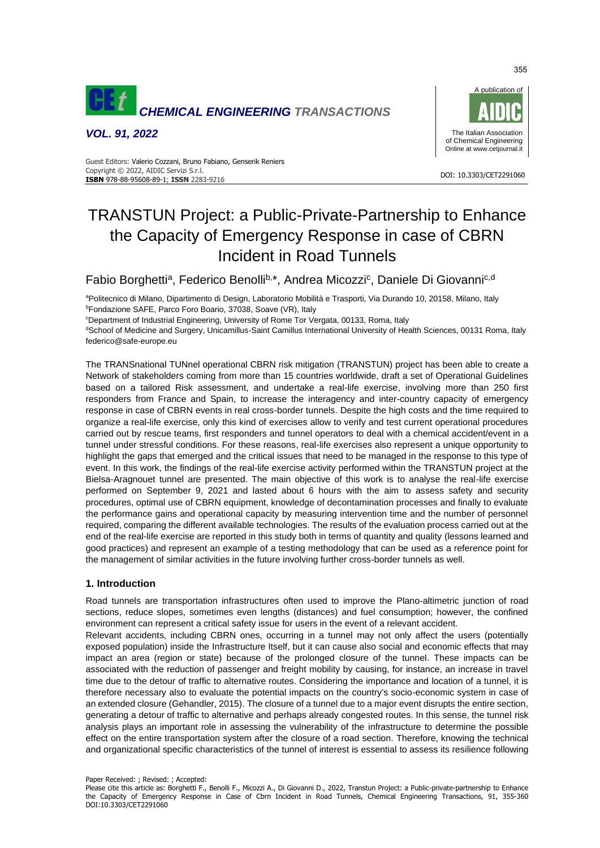

*VOL. 91, 2022*



#### DOI: 10.3303/CET2291060 **ISBN** 978-88-95608-89-1; **ISSN** 2283-9216 Guest Editors: Valerio Cozzani, Bruno Fabiano, Genserik Reniers Copyright © 2022, AIDIC Servizi S.r.l.

# TRANSTUN Project: a Public-Private-Partnership to Enhance the Capacity of Emergency Response in case of CBRN Incident in Road Tunnels

Fabio Borghetti<sup>a</sup>, Federico Benolli<sup>b,\*</sup>, Andrea Micozzi<sup>c</sup>, Daniele Di Giovanni<sup>c,d</sup>

<sup>a</sup>Politecnico di Milano, Dipartimento di Design, Laboratorio Mobilità e Trasporti, Via Durando 10, 20158, Milano, Italy <sup>b</sup>Fondazione SAFE, Parco Foro Boario, 37038, Soave (VR), Italy

<sup>c</sup>Department of Industrial Engineering, University of Rome Tor Vergata, 00133, Roma, Italy

dSchool of Medicine and Surgery, Unicamillus-Saint Camillus International University of Health Sciences, 00131 Roma, Italy federico@safe-europe.eu

The TRANSnational TUNnel operational CBRN risk mitigation (TRANSTUN) project has been able to create a Network of stakeholders coming from more than 15 countries worldwide, draft a set of Operational Guidelines based on a tailored Risk assessment, and undertake a real-life exercise, involving more than 250 first responders from France and Spain, to increase the interagency and inter-country capacity of emergency response in case of CBRN events in real cross-border tunnels. Despite the high costs and the time required to organize a real-life exercise, only this kind of exercises allow to verify and test current operational procedures carried out by rescue teams, first responders and tunnel operators to deal with a chemical accident/event in a tunnel under stressful conditions. For these reasons, real-life exercises also represent a unique opportunity to highlight the gaps that emerged and the critical issues that need to be managed in the response to this type of event. In this work, the findings of the real-life exercise activity performed within the TRANSTUN project at the Bielsa-Aragnouet tunnel are presented. The main objective of this work is to analyse the real-life exercise performed on September 9, 2021 and lasted about 6 hours with the aim to assess safety and security procedures, optimal use of CBRN equipment, knowledge of decontamination processes and finally to evaluate the performance gains and operational capacity by measuring intervention time and the number of personnel required, comparing the different available technologies. The results of the evaluation process carried out at the end of the real-life exercise are reported in this study both in terms of quantity and quality (lessons learned and good practices) and represent an example of a testing methodology that can be used as a reference point for the management of similar activities in the future involving further cross-border tunnels as well.

## **1. Introduction**

Road tunnels are transportation infrastructures often used to improve the Plano-altimetric junction of road sections, reduce slopes, sometimes even lengths (distances) and fuel consumption; however, the confined environment can represent a critical safety issue for users in the event of a relevant accident.

Relevant accidents, including CBRN ones, occurring in a tunnel may not only affect the users (potentially exposed population) inside the Infrastructure Itself, but it can cause also social and economic effects that may impact an area (region or state) because of the prolonged closure of the tunnel. These impacts can be associated with the reduction of passenger and freight mobility by causing, for instance, an increase in travel time due to the detour of traffic to alternative routes. Considering the importance and location of a tunnel, it is therefore necessary also to evaluate the potential impacts on the country's socio-economic system in case of an extended closure (Gehandler, 2015). The closure of a tunnel due to a major event disrupts the entire section, generating a detour of traffic to alternative and perhaps already congested routes. In this sense, the tunnel risk analysis plays an important role in assessing the vulnerability of the infrastructure to determine the possible effect on the entire transportation system after the closure of a road section. Therefore, knowing the technical and organizational specific characteristics of the tunnel of interest is essential to assess its resilience following

355

Paper Received: ; Revised: ; Accepted:

Please cite this article as: Borghetti F., Benolli F., Micozzi A., Di Giovanni D., 2022, Transtun Project: a Public-private-partnership to Enhance the Capacity of Emergency Response in Case of Cbrn Incident in Road Tunnels, Chemical Engineering Transactions, 91, 355-360 DOI:10.3303/CET2291060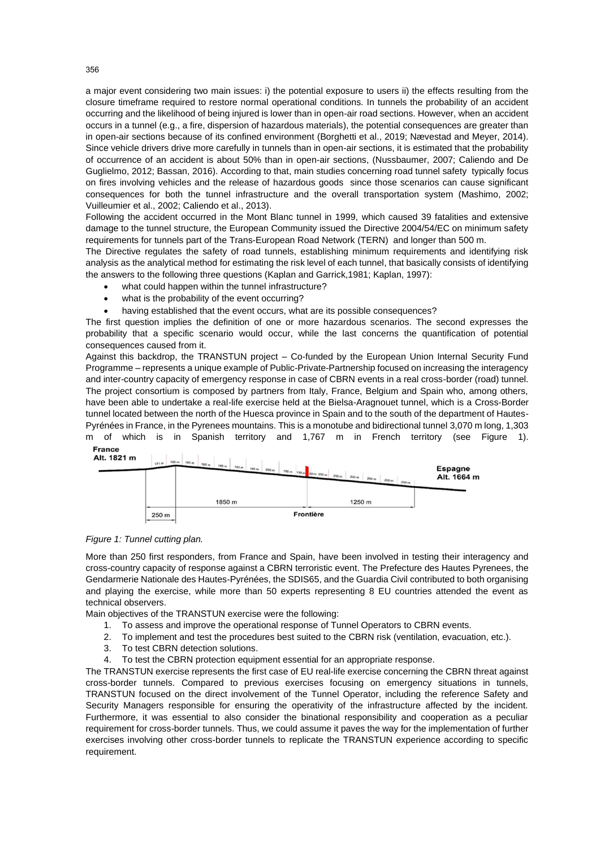a major event considering two main issues: i) the potential exposure to users ii) the effects resulting from the closure timeframe required to restore normal operational conditions. In tunnels the probability of an accident occurring and the likelihood of being injured is lower than in open-air road sections. However, when an accident occurs in a tunnel (e.g., a fire, dispersion of hazardous materials), the potential consequences are greater than in open-air sections because of its confined environment (Borghetti et al., 2019; Nævestad and Meyer, 2014). Since vehicle drivers drive more carefully in tunnels than in open-air sections, it is estimated that the probability of occurrence of an accident is about 50% than in open-air sections, (Nussbaumer, 2007; Caliendo and De Guglielmo, 2012; Bassan, 2016). According to that, main studies concerning road tunnel safety typically focus on fires involving vehicles and the release of hazardous goods since those scenarios can cause significant consequences for both the tunnel infrastructure and the overall transportation system (Mashimo, 2002; Vuilleumier et al., 2002; Caliendo et al., 2013).

Following the accident occurred in the Mont Blanc tunnel in 1999, which caused 39 fatalities and extensive damage to the tunnel structure, the European Community issued the Directive 2004/54/EC on minimum safety requirements for tunnels part of the Trans-European Road Network (TERN) and longer than 500 m.

The Directive regulates the safety of road tunnels, establishing minimum requirements and identifying risk analysis as the analytical method for estimating the risk level of each tunnel, that basically consists of identifying the answers to the following three questions (Kaplan and Garrick,1981; Kaplan, 1997):

- what could happen within the tunnel infrastructure?
- what is the probability of the event occurring?
- having established that the event occurs, what are its possible consequences?

The first question implies the definition of one or more hazardous scenarios. The second expresses the probability that a specific scenario would occur, while the last concerns the quantification of potential consequences caused from it.

Against this backdrop, the TRANSTUN project – Co-funded by the European Union Internal Security Fund Programme – represents a unique example of Public-Private-Partnership focused on increasing the interagency and inter-country capacity of emergency response in case of CBRN events in a real cross-border (road) tunnel. The project consortium is composed by partners from Italy, France, Belgium and Spain who, among others, have been able to undertake a real-life exercise held at the Bielsa-Aragnouet tunnel, which is a Cross-Border tunnel located between the north of the Huesca province in Spain and to the south of the department of Hautes-Pyrénées in France, in the Pyrenees mountains. This is a monotube and bidirectional tunnel 3,070 m long, 1,303 m of which is in Spanish territory and 1,767 m in French territory (see Figure 1). **France** 





More than 250 first responders, from France and Spain, have been involved in testing their interagency and cross-country capacity of response against a CBRN terroristic event. The Prefecture des Hautes Pyrenees, the Gendarmerie Nationale des Hautes-Pyrénées, the SDIS65, and the Guardia Civil contributed to both organising and playing the exercise, while more than 50 experts representing 8 EU countries attended the event as technical observers.

Main objectives of the TRANSTUN exercise were the following:

- 1. To assess and improve the operational response of Tunnel Operators to CBRN events.
- 2. To implement and test the procedures best suited to the CBRN risk (ventilation, evacuation, etc.).
- 3. To test CBRN detection solutions.
- 4. To test the CBRN protection equipment essential for an appropriate response.

The TRANSTUN exercise represents the first case of EU real-life exercise concerning the CBRN threat against cross-border tunnels. Compared to previous exercises focusing on emergency situations in tunnels, TRANSTUN focused on the direct involvement of the Tunnel Operator, including the reference Safety and Security Managers responsible for ensuring the operativity of the infrastructure affected by the incident. Furthermore, it was essential to also consider the binational responsibility and cooperation as a peculiar requirement for cross-border tunnels. Thus, we could assume it paves the way for the implementation of further exercises involving other cross-border tunnels to replicate the TRANSTUN experience according to specific requirement.

356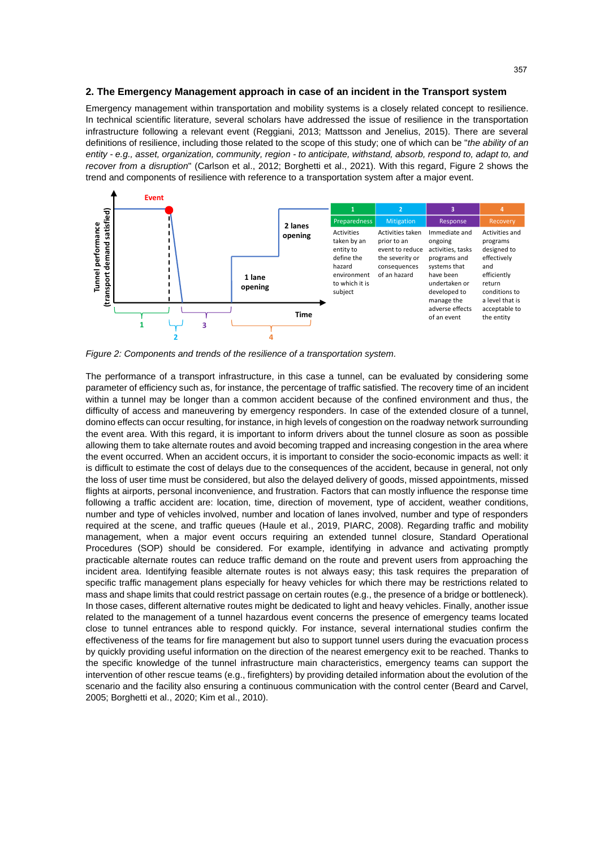#### **2. The Emergency Management approach in case of an incident in the Transport system**

Emergency management within transportation and mobility systems is a closely related concept to resilience. In technical scientific literature, several scholars have addressed the issue of resilience in the transportation infrastructure following a relevant event (Reggiani, 2013; Mattsson and Jenelius, 2015). There are several definitions of resilience, including those related to the scope of this study; one of which can be "*the ability of an entity - e.g., asset, organization, community, region - to anticipate, withstand, absorb, respond to, adapt to, and recover from a disruption*" (Carlson et al., 2012; Borghetti et al., 2021). With this regard, Figure 2 shows the trend and components of resilience with reference to a transportation system after a major event.



*Figure 2: Components and trends of the resilience of a transportation system.*

The performance of a transport infrastructure, in this case a tunnel, can be evaluated by considering some parameter of efficiency such as, for instance, the percentage of traffic satisfied. The recovery time of an incident within a tunnel may be longer than a common accident because of the confined environment and thus, the difficulty of access and maneuvering by emergency responders. In case of the extended closure of a tunnel, domino effects can occur resulting, for instance, in high levels of congestion on the roadway network surrounding the event area. With this regard, it is important to inform drivers about the tunnel closure as soon as possible allowing them to take alternate routes and avoid becoming trapped and increasing congestion in the area where the event occurred. When an accident occurs, it is important to consider the socio-economic impacts as well: it is difficult to estimate the cost of delays due to the consequences of the accident, because in general, not only the loss of user time must be considered, but also the delayed delivery of goods, missed appointments, missed flights at airports, personal inconvenience, and frustration. Factors that can mostly influence the response time following a traffic accident are: location, time, direction of movement, type of accident, weather conditions, number and type of vehicles involved, number and location of lanes involved, number and type of responders required at the scene, and traffic queues (Haule et al., 2019, PIARC, 2008). Regarding traffic and mobility management, when a major event occurs requiring an extended tunnel closure, Standard Operational Procedures (SOP) should be considered. For example, identifying in advance and activating promptly practicable alternate routes can reduce traffic demand on the route and prevent users from approaching the incident area. Identifying feasible alternate routes is not always easy; this task requires the preparation of specific traffic management plans especially for heavy vehicles for which there may be restrictions related to mass and shape limits that could restrict passage on certain routes (e.g., the presence of a bridge or bottleneck). In those cases, different alternative routes might be dedicated to light and heavy vehicles. Finally, another issue related to the management of a tunnel hazardous event concerns the presence of emergency teams located close to tunnel entrances able to respond quickly. For instance, several international studies confirm the effectiveness of the teams for fire management but also to support tunnel users during the evacuation process by quickly providing useful information on the direction of the nearest emergency exit to be reached. Thanks to the specific knowledge of the tunnel infrastructure main characteristics, emergency teams can support the intervention of other rescue teams (e.g., firefighters) by providing detailed information about the evolution of the scenario and the facility also ensuring a continuous communication with the control center (Beard and Carvel, 2005; Borghetti et al., 2020; Kim et al., 2010).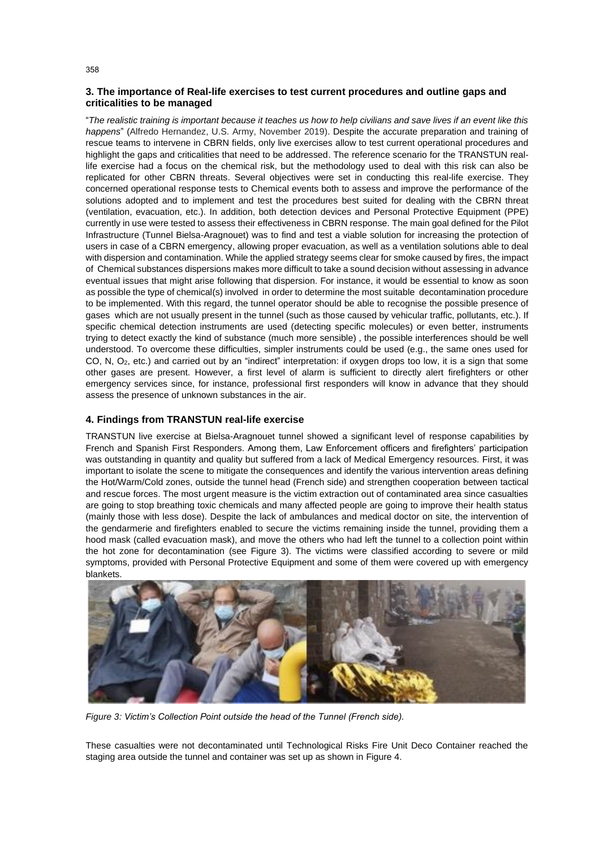## **3. The importance of Real-life exercises to test current procedures and outline gaps and criticalities to be managed**

"*The realistic training is important because it teaches us how to help civilians and save lives if an event like this happens*" (Alfredo Hernandez, U.S. Army, November 2019). Despite the accurate preparation and training of rescue teams to intervene in CBRN fields, only live exercises allow to test current operational procedures and highlight the gaps and criticalities that need to be addressed. The reference scenario for the TRANSTUN reallife exercise had a focus on the chemical risk, but the methodology used to deal with this risk can also be replicated for other CBRN threats. Several objectives were set in conducting this real-life exercise. They concerned operational response tests to Chemical events both to assess and improve the performance of the solutions adopted and to implement and test the procedures best suited for dealing with the CBRN threat (ventilation, evacuation, etc.). In addition, both detection devices and Personal Protective Equipment (PPE) currently in use were tested to assess their effectiveness in CBRN response. The main goal defined for the Pilot Infrastructure (Tunnel Bielsa-Aragnouet) was to find and test a viable solution for increasing the protection of users in case of a CBRN emergency, allowing proper evacuation, as well as a ventilation solutions able to deal with dispersion and contamination. While the applied strategy seems clear for smoke caused by fires, the impact of Chemical substances dispersions makes more difficult to take a sound decision without assessing in advance eventual issues that might arise following that dispersion. For instance, it would be essential to know as soon as possible the type of chemical(s) involved in order to determine the most suitable decontamination procedure to be implemented. With this regard, the tunnel operator should be able to recognise the possible presence of gases which are not usually present in the tunnel (such as those caused by vehicular traffic, pollutants, etc.). If specific chemical detection instruments are used (detecting specific molecules) or even better, instruments trying to detect exactly the kind of substance (much more sensible) , the possible interferences should be well understood. To overcome these difficulties, simpler instruments could be used (e.g., the same ones used for CO, N, O2, etc.) and carried out by an "indirect" interpretation: if oxygen drops too low, it is a sign that some other gases are present. However, a first level of alarm is sufficient to directly alert firefighters or other emergency services since, for instance, professional first responders will know in advance that they should assess the presence of unknown substances in the air.

## **4. Findings from TRANSTUN real-life exercise**

TRANSTUN live exercise at Bielsa-Aragnouet tunnel showed a significant level of response capabilities by French and Spanish First Responders. Among them, Law Enforcement officers and firefighters' participation was outstanding in quantity and quality but suffered from a lack of Medical Emergency resources. First, it was important to isolate the scene to mitigate the consequences and identify the various intervention areas defining the Hot/Warm/Cold zones, outside the tunnel head (French side) and strengthen cooperation between tactical and rescue forces. The most urgent measure is the victim extraction out of contaminated area since casualties are going to stop breathing toxic chemicals and many affected people are going to improve their health status (mainly those with less dose). Despite the lack of ambulances and medical doctor on site, the intervention of the gendarmerie and firefighters enabled to secure the victims remaining inside the tunnel, providing them a hood mask (called evacuation mask), and move the others who had left the tunnel to a collection point within the hot zone for decontamination (see Figure 3). The victims were classified according to severe or mild symptoms, provided with Personal Protective Equipment and some of them were covered up with emergency blankets.



*Figure 3: Victim's Collection Point outside the head of the Tunnel (French side).*

These casualties were not decontaminated until Technological Risks Fire Unit Deco Container reached the staging area outside the tunnel and container was set up as shown in Figure 4.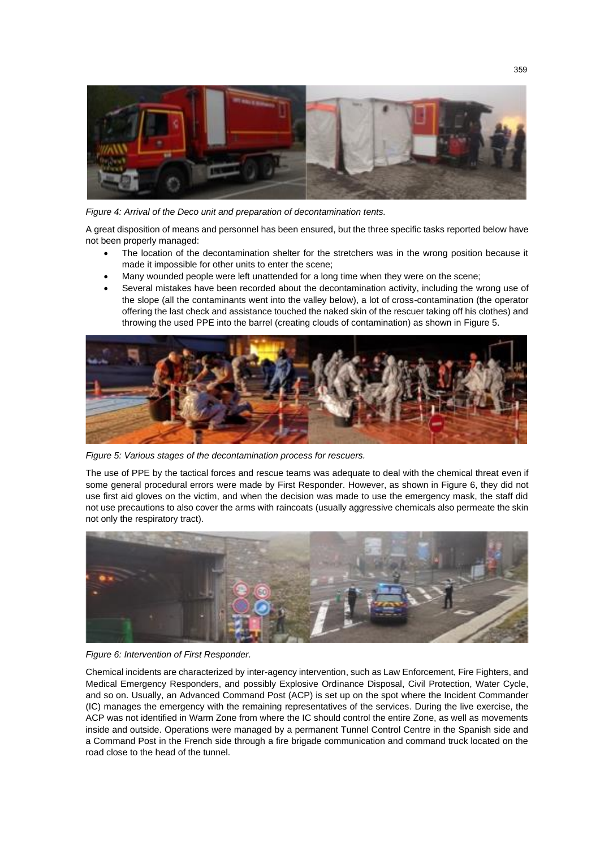

*Figure 4: Arrival of the Deco unit and preparation of decontamination tents.*

A great disposition of means and personnel has been ensured, but the three specific tasks reported below have not been properly managed:

- The location of the decontamination shelter for the stretchers was in the wrong position because it made it impossible for other units to enter the scene;
- Many wounded people were left unattended for a long time when they were on the scene;
- Several mistakes have been recorded about the decontamination activity, including the wrong use of the slope (all the contaminants went into the valley below), a lot of cross-contamination (the operator offering the last check and assistance touched the naked skin of the rescuer taking off his clothes) and throwing the used PPE into the barrel (creating clouds of contamination) as shown in Figure 5.



*Figure 5: Various stages of the decontamination process for rescuers.*

The use of PPE by the tactical forces and rescue teams was adequate to deal with the chemical threat even if some general procedural errors were made by First Responder. However, as shown in Figure 6, they did not use first aid gloves on the victim, and when the decision was made to use the emergency mask, the staff did not use precautions to also cover the arms with raincoats (usually aggressive chemicals also permeate the skin not only the respiratory tract).



*Figure 6: Intervention of First Responder.*

Chemical incidents are characterized by inter-agency intervention, such as Law Enforcement, Fire Fighters, and Medical Emergency Responders, and possibly Explosive Ordinance Disposal, Civil Protection, Water Cycle, and so on. Usually, an Advanced Command Post (ACP) is set up on the spot where the Incident Commander (IC) manages the emergency with the remaining representatives of the services. During the live exercise, the ACP was not identified in Warm Zone from where the IC should control the entire Zone, as well as movements inside and outside. Operations were managed by a permanent Tunnel Control Centre in the Spanish side and a Command Post in the French side through a fire brigade communication and command truck located on the road close to the head of the tunnel.